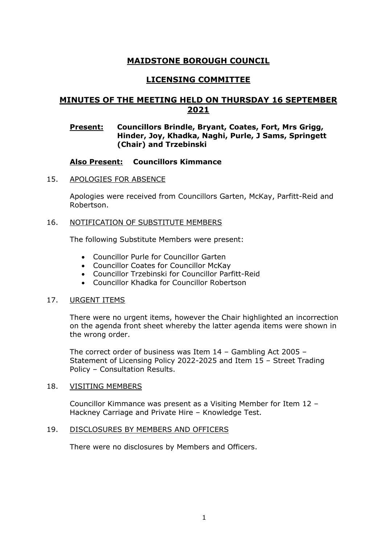# **MAIDSTONE BOROUGH COUNCIL**

## **LICENSING COMMITTEE**

# **MINUTES OF THE MEETING HELD ON THURSDAY 16 SEPTEMBER 2021**

## **Present: Councillors Brindle, Bryant, Coates, Fort, Mrs Grigg, Hinder, Joy, Khadka, Naghi, Purle, J Sams, Springett (Chair) and Trzebinski**

## **Also Present: Councillors Kimmance**

### 15. APOLOGIES FOR ABSENCE

Apologies were received from Councillors Garten, McKay, Parfitt-Reid and Robertson.

#### 16. NOTIFICATION OF SUBSTITUTE MEMBERS

The following Substitute Members were present:

- Councillor Purle for Councillor Garten
- Councillor Coates for Councillor McKay
- Councillor Trzebinski for Councillor Parfitt-Reid
- Councillor Khadka for Councillor Robertson

### 17. URGENT ITEMS

There were no urgent items, however the Chair highlighted an incorrection on the agenda front sheet whereby the latter agenda items were shown in the wrong order.

The correct order of business was Item 14 – Gambling Act 2005 – Statement of Licensing Policy 2022-2025 and Item 15 – Street Trading Policy – Consultation Results.

#### 18. VISITING MEMBERS

Councillor Kimmance was present as a Visiting Member for Item 12 – Hackney Carriage and Private Hire – Knowledge Test.

### 19. DISCLOSURES BY MEMBERS AND OFFICERS

There were no disclosures by Members and Officers.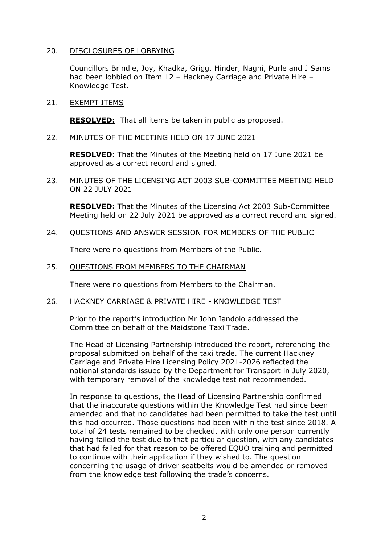### 20. DISCLOSURES OF LOBBYING

Councillors Brindle, Joy, Khadka, Grigg, Hinder, Naghi, Purle and J Sams had been lobbied on Item 12 – Hackney Carriage and Private Hire – Knowledge Test.

21. EXEMPT ITEMS

**RESOLVED:** That all items be taken in public as proposed.

22. MINUTES OF THE MEETING HELD ON 17 JUNE 2021

**RESOLVED:** That the Minutes of the Meeting held on 17 June 2021 be approved as a correct record and signed.

23. MINUTES OF THE LICENSING ACT 2003 SUB-COMMITTEE MEETING HELD ON 22 JULY 2021

**RESOLVED:** That the Minutes of the Licensing Act 2003 Sub-Committee Meeting held on 22 July 2021 be approved as a correct record and signed.

24. QUESTIONS AND ANSWER SESSION FOR MEMBERS OF THE PUBLIC

There were no questions from Members of the Public.

25. QUESTIONS FROM MEMBERS TO THE CHAIRMAN

There were no questions from Members to the Chairman.

26. HACKNEY CARRIAGE & PRIVATE HIRE - KNOWLEDGE TEST

Prior to the report's introduction Mr John Iandolo addressed the Committee on behalf of the Maidstone Taxi Trade.

The Head of Licensing Partnership introduced the report, referencing the proposal submitted on behalf of the taxi trade. The current Hackney Carriage and Private Hire Licensing Policy 2021-2026 reflected the national standards issued by the Department for Transport in July 2020, with temporary removal of the knowledge test not recommended.

In response to questions, the Head of Licensing Partnership confirmed that the inaccurate questions within the Knowledge Test had since been amended and that no candidates had been permitted to take the test until this had occurred. Those questions had been within the test since 2018. A total of 24 tests remained to be checked, with only one person currently having failed the test due to that particular question, with any candidates that had failed for that reason to be offered EQUO training and permitted to continue with their application if they wished to. The question concerning the usage of driver seatbelts would be amended or removed from the knowledge test following the trade's concerns.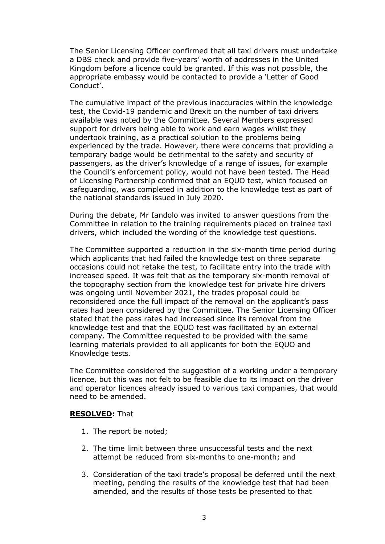The Senior Licensing Officer confirmed that all taxi drivers must undertake a DBS check and provide five-years' worth of addresses in the United Kingdom before a licence could be granted. If this was not possible, the appropriate embassy would be contacted to provide a 'Letter of Good Conduct'.

The cumulative impact of the previous inaccuracies within the knowledge test, the Covid-19 pandemic and Brexit on the number of taxi drivers available was noted by the Committee. Several Members expressed support for drivers being able to work and earn wages whilst they undertook training, as a practical solution to the problems being experienced by the trade. However, there were concerns that providing a temporary badge would be detrimental to the safety and security of passengers, as the driver's knowledge of a range of issues, for example the Council's enforcement policy, would not have been tested. The Head of Licensing Partnership confirmed that an EQUO test, which focused on safeguarding, was completed in addition to the knowledge test as part of the national standards issued in July 2020.

During the debate, Mr Iandolo was invited to answer questions from the Committee in relation to the training requirements placed on trainee taxi drivers, which included the wording of the knowledge test questions.

The Committee supported a reduction in the six-month time period during which applicants that had failed the knowledge test on three separate occasions could not retake the test, to facilitate entry into the trade with increased speed. It was felt that as the temporary six-month removal of the topography section from the knowledge test for private hire drivers was ongoing until November 2021, the trades proposal could be reconsidered once the full impact of the removal on the applicant's pass rates had been considered by the Committee. The Senior Licensing Officer stated that the pass rates had increased since its removal from the knowledge test and that the EQUO test was facilitated by an external company. The Committee requested to be provided with the same learning materials provided to all applicants for both the EQUO and Knowledge tests.

The Committee considered the suggestion of a working under a temporary licence, but this was not felt to be feasible due to its impact on the driver and operator licences already issued to various taxi companies, that would need to be amended.

### **RESOLVED:** That

- 1. The report be noted;
- 2. The time limit between three unsuccessful tests and the next attempt be reduced from six-months to one-month; and
- 3. Consideration of the taxi trade's proposal be deferred until the next meeting, pending the results of the knowledge test that had been amended, and the results of those tests be presented to that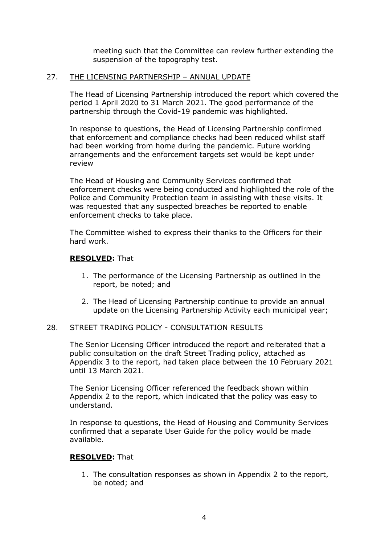meeting such that the Committee can review further extending the suspension of the topography test.

#### 27. THE LICENSING PARTNERSHIP – ANNUAL UPDATE

The Head of Licensing Partnership introduced the report which covered the period 1 April 2020 to 31 March 2021. The good performance of the partnership through the Covid-19 pandemic was highlighted.

In response to questions, the Head of Licensing Partnership confirmed that enforcement and compliance checks had been reduced whilst staff had been working from home during the pandemic. Future working arrangements and the enforcement targets set would be kept under review

The Head of Housing and Community Services confirmed that enforcement checks were being conducted and highlighted the role of the Police and Community Protection team in assisting with these visits. It was requested that any suspected breaches be reported to enable enforcement checks to take place.

The Committee wished to express their thanks to the Officers for their hard work.

### **RESOLVED:** That

- 1. The performance of the Licensing Partnership as outlined in the report, be noted; and
- 2. The Head of Licensing Partnership continue to provide an annual update on the Licensing Partnership Activity each municipal year;

### 28. STREET TRADING POLICY - CONSULTATION RESULTS

The Senior Licensing Officer introduced the report and reiterated that a public consultation on the draft Street Trading policy, attached as Appendix 3 to the report, had taken place between the 10 February 2021 until 13 March 2021.

The Senior Licensing Officer referenced the feedback shown within Appendix 2 to the report, which indicated that the policy was easy to understand.

In response to questions, the Head of Housing and Community Services confirmed that a separate User Guide for the policy would be made available.

### **RESOLVED:** That

1. The consultation responses as shown in Appendix 2 to the report, be noted; and